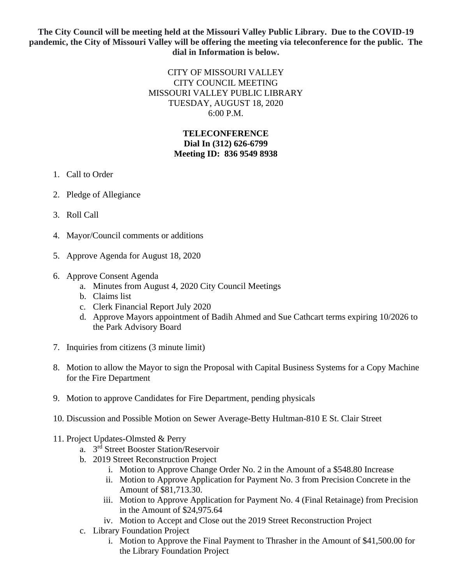## **The City Council will be meeting held at the Missouri Valley Public Library. Due to the COVID-19 pandemic, the City of Missouri Valley will be offering the meeting via teleconference for the public. The dial in Information is below.**

## CITY OF MISSOURI VALLEY CITY COUNCIL MEETING MISSOURI VALLEY PUBLIC LIBRARY TUESDAY, AUGUST 18, 2020 6:00 P.M.

## **TELECONFERENCE Dial In (312) 626-6799 Meeting ID: 836 9549 8938**

- 1. Call to Order
- 2. Pledge of Allegiance
- 3. Roll Call
- 4. Mayor/Council comments or additions
- 5. Approve Agenda for August 18, 2020
- 6. Approve Consent Agenda
	- a. Minutes from August 4, 2020 City Council Meetings
	- b. Claims list
	- c. Clerk Financial Report July 2020
	- d. Approve Mayors appointment of Badih Ahmed and Sue Cathcart terms expiring 10/2026 to the Park Advisory Board
- 7. Inquiries from citizens (3 minute limit)
- 8. Motion to allow the Mayor to sign the Proposal with Capital Business Systems for a Copy Machine for the Fire Department
- 9. Motion to approve Candidates for Fire Department, pending physicals
- 10. Discussion and Possible Motion on Sewer Average-Betty Hultman-810 E St. Clair Street
- 11. Project Updates-Olmsted & Perry
	- a. 3 rd Street Booster Station/Reservoir
	- b. 2019 Street Reconstruction Project
		- i. Motion to Approve Change Order No. 2 in the Amount of a \$548.80 Increase
		- ii. Motion to Approve Application for Payment No. 3 from Precision Concrete in the Amount of \$81,713.30.
		- iii. Motion to Approve Application for Payment No. 4 (Final Retainage) from Precision in the Amount of \$24,975.64
		- iv. Motion to Accept and Close out the 2019 Street Reconstruction Project
	- c. Library Foundation Project
		- i. Motion to Approve the Final Payment to Thrasher in the Amount of \$41,500.00 for the Library Foundation Project